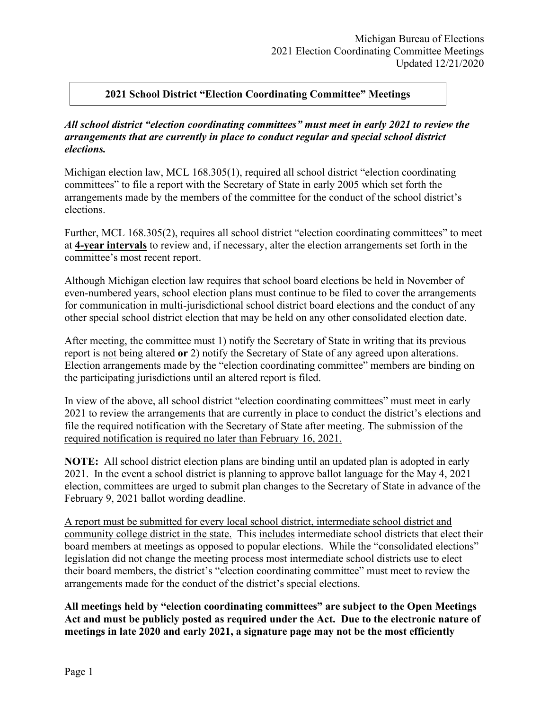# **2021 School District "Election Coordinating Committee" Meetings**

### *All school district "election coordinating committees" must meet in early 2021 to review the arrangements that are currently in place to conduct regular and special school district elections.*

Michigan election law, MCL 168.305(1), required all school district "election coordinating committees" to file a report with the Secretary of State in early 2005 which set forth the arrangements made by the members of the committee for the conduct of the school district's elections.

Further, MCL 168.305(2), requires all school district "election coordinating committees" to meet at **4-year intervals** to review and, if necessary, alter the election arrangements set forth in the committee's most recent report.

Although Michigan election law requires that school board elections be held in November of even-numbered years, school election plans must continue to be filed to cover the arrangements for communication in multi-jurisdictional school district board elections and the conduct of any other special school district election that may be held on any other consolidated election date.

After meeting, the committee must 1) notify the Secretary of State in writing that its previous report is not being altered **or** 2) notify the Secretary of State of any agreed upon alterations. Election arrangements made by the "election coordinating committee" members are binding on the participating jurisdictions until an altered report is filed.

In view of the above, all school district "election coordinating committees" must meet in early 2021 to review the arrangements that are currently in place to conduct the district's elections and file the required notification with the Secretary of State after meeting. The submission of the required notification is required no later than February 16, 2021.

**NOTE:** All school district election plans are binding until an updated plan is adopted in early 2021. In the event a school district is planning to approve ballot language for the May 4, 2021 election, committees are urged to submit plan changes to the Secretary of State in advance of the February 9, 2021 ballot wording deadline.

A report must be submitted for every local school district, intermediate school district and community college district in the state. This includes intermediate school districts that elect their board members at meetings as opposed to popular elections. While the "consolidated elections" legislation did not change the meeting process most intermediate school districts use to elect their board members, the district's "election coordinating committee" must meet to review the arrangements made for the conduct of the district's special elections.

**All meetings held by "election coordinating committees" are subject to the Open Meetings Act and must be publicly posted as required under the Act. Due to the electronic nature of meetings in late 2020 and early 2021, a signature page may not be the most efficiently**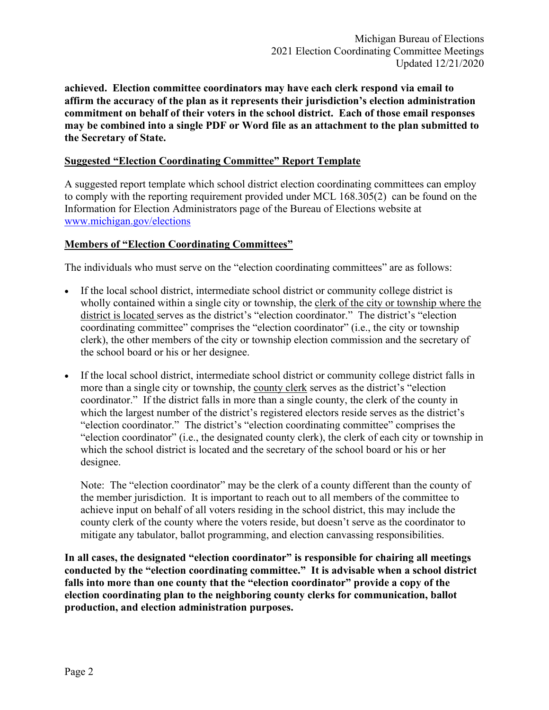**achieved. Election committee coordinators may have each clerk respond via email to affirm the accuracy of the plan as it represents their jurisdiction's election administration commitment on behalf of their voters in the school district. Each of those email responses may be combined into a single PDF or Word file as an attachment to the plan submitted to the Secretary of State.**

### **Suggested "Election Coordinating Committee" Report Template**

A suggested report template which school district election coordinating committees can employ to comply with the reporting requirement provided under MCL 168.305(2) can be found on the Information for Election Administrators page of the Bureau of Elections website at [www.michigan.gov/elections](http://www.michigan.gov/elections)

### **Members of "Election Coordinating Committees"**

The individuals who must serve on the "election coordinating committees" are as follows:

- If the local school district, intermediate school district or community college district is wholly contained within a single city or township, the clerk of the city or township where the district is located serves as the district's "election coordinator." The district's "election coordinating committee" comprises the "election coordinator" (i.e., the city or township clerk), the other members of the city or township election commission and the secretary of the school board or his or her designee.
- If the local school district, intermediate school district or community college district falls in more than a single city or township, the county clerk serves as the district's "election coordinator." If the district falls in more than a single county, the clerk of the county in which the largest number of the district's registered electors reside serves as the district's "election coordinator." The district's "election coordinating committee" comprises the "election coordinator" (i.e., the designated county clerk), the clerk of each city or township in which the school district is located and the secretary of the school board or his or her designee.

Note: The "election coordinator" may be the clerk of a county different than the county of the member jurisdiction. It is important to reach out to all members of the committee to achieve input on behalf of all voters residing in the school district, this may include the county clerk of the county where the voters reside, but doesn't serve as the coordinator to mitigate any tabulator, ballot programming, and election canvassing responsibilities.

**In all cases, the designated "election coordinator" is responsible for chairing all meetings conducted by the "election coordinating committee." It is advisable when a school district falls into more than one county that the "election coordinator" provide a copy of the election coordinating plan to the neighboring county clerks for communication, ballot production, and election administration purposes.**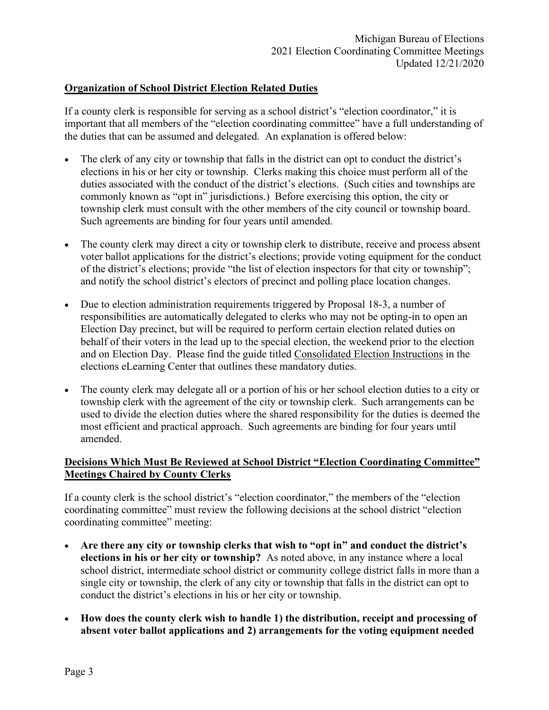### **Organization of School District Election Related Duties**

If a county clerk is responsible for serving as a school district's "election coordinator," it is important that all members of the "election coordinating committee" have a full understanding of the duties that can be assumed and delegated. An explanation is offered below:

- The clerk of any city or township that falls in the district can opt to conduct the district's elections in his or her city or township. Clerks making this choice must perform all of the duties associated with the conduct of the district's elections. (Such cities and townships are commonly known as "opt in" jurisdictions.) Before exercising this option, the city or township clerk must consult with the other members of the city council or township board. Such agreements are binding for four years until amended.
- The county clerk may direct a city or township clerk to distribute, receive and process absent voter ballot applications for the district's elections; provide voting equipment for the conduct of the district's elections; provide "the list of election inspectors for that city or township"; and notify the school district's electors of precinct and polling place location changes.
- Due to election administration requirements triggered by Proposal 18-3, a number of responsibilities are automatically delegated to clerks who may not be opting-in to open an Election Day precinct, but will be required to perform certain election related duties on behalf of their voters in the lead up to the special election, the weekend prior to the election and on Election Day. Please find the guide titled Consolidated Election Instructions in the elections eLearning Center that outlines these mandatory duties.
- The county clerk may delegate all or a portion of his or her school election duties to a city or township clerk with the agreement of the city or township clerk. Such arrangements can be used to divide the election duties where the shared responsibility for the duties is deemed the most efficient and practical approach. Such agreements are binding for four years until amended.

# **Decisions Which Must Be Reviewed at School District "Election Coordinating Committee" Meetings Chaired by County Clerks**

If a county clerk is the school district's "election coordinator," the members of the "election coordinating committee" must review the following decisions at the school district "election coordinating committee" meeting:

- **Are there any city or township clerks that wish to "opt in" and conduct the district's elections in his or her city or township?** As noted above, in any instance where a local school district, intermediate school district or community college district falls in more than a single city or township, the clerk of any city or township that falls in the district can opt to conduct the district's elections in his or her city or township.
- **How does the county clerk wish to handle 1) the distribution, receipt and processing of absent voter ballot applications and 2) arrangements for the voting equipment needed**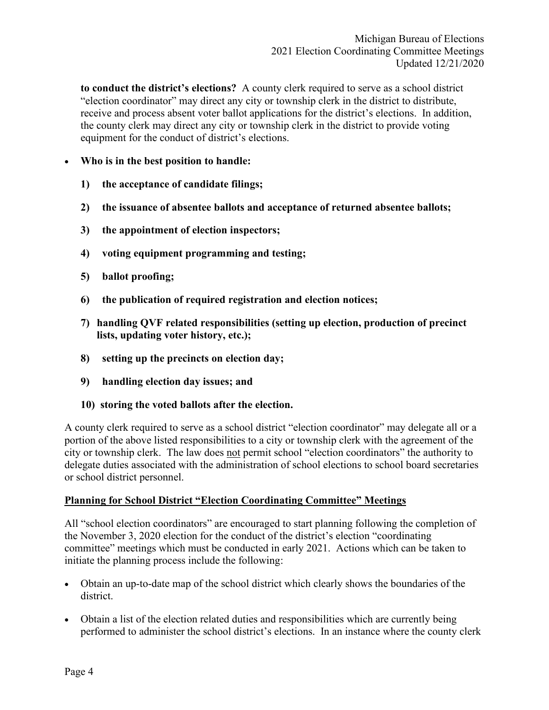**to conduct the district's elections?** A county clerk required to serve as a school district "election coordinator" may direct any city or township clerk in the district to distribute, receive and process absent voter ballot applications for the district's elections. In addition, the county clerk may direct any city or township clerk in the district to provide voting equipment for the conduct of district's elections.

## • **Who is in the best position to handle:**

- **1) the acceptance of candidate filings;**
- **2) the issuance of absentee ballots and acceptance of returned absentee ballots;**
- **3) the appointment of election inspectors;**
- **4) voting equipment programming and testing;**
- **5) ballot proofing;**
- **6) the publication of required registration and election notices;**
- **7) handling QVF related responsibilities (setting up election, production of precinct lists, updating voter history, etc.);**
- **8) setting up the precincts on election day;**
- **9) handling election day issues; and**
- **10) storing the voted ballots after the election.**

A county clerk required to serve as a school district "election coordinator" may delegate all or a portion of the above listed responsibilities to a city or township clerk with the agreement of the city or township clerk. The law does not permit school "election coordinators" the authority to delegate duties associated with the administration of school elections to school board secretaries or school district personnel.

# **Planning for School District "Election Coordinating Committee" Meetings**

All "school election coordinators" are encouraged to start planning following the completion of the November 3, 2020 election for the conduct of the district's election "coordinating committee" meetings which must be conducted in early 2021. Actions which can be taken to initiate the planning process include the following:

- Obtain an up-to-date map of the school district which clearly shows the boundaries of the district.
- Obtain a list of the election related duties and responsibilities which are currently being performed to administer the school district's elections. In an instance where the county clerk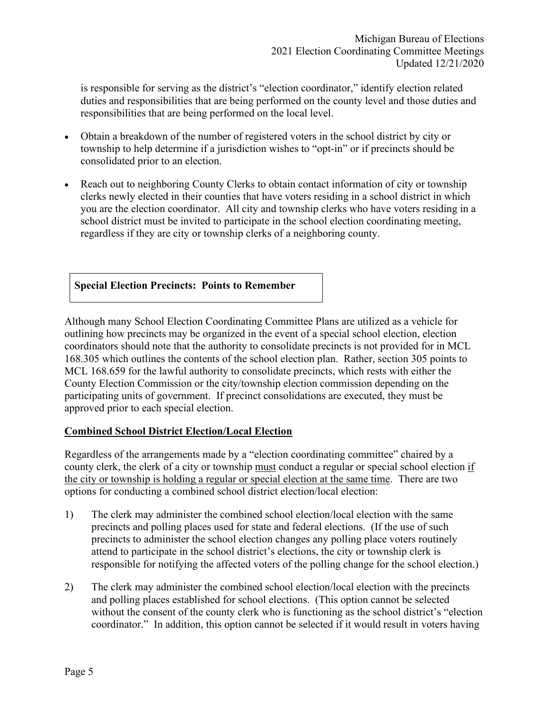is responsible for serving as the district's "election coordinator," identify election related duties and responsibilities that are being performed on the county level and those duties and responsibilities that are being performed on the local level.

- Obtain a breakdown of the number of registered voters in the school district by city or township to help determine if a jurisdiction wishes to "opt-in" or if precincts should be consolidated prior to an election.
- Reach out to neighboring County Clerks to obtain contact information of city or township clerks newly elected in their counties that have voters residing in a school district in which you are the election coordinator. All city and township clerks who have voters residing in a school district must be invited to participate in the school election coordinating meeting, regardless if they are city or township clerks of a neighboring county.

## **Special Election Precincts: Points to Remember**

Although many School Election Coordinating Committee Plans are utilized as a vehicle for outlining how precincts may be organized in the event of a special school election, election coordinators should note that the authority to consolidate precincts is not provided for in MCL 168.305 which outlines the contents of the school election plan. Rather, section 305 points to MCL 168.659 for the lawful authority to consolidate precincts, which rests with either the County Election Commission or the city/township election commission depending on the participating units of government. If precinct consolidations are executed, they must be approved prior to each special election.

## **Combined School District Election/Local Election**

Regardless of the arrangements made by a "election coordinating committee" chaired by a county clerk, the clerk of a city or township must conduct a regular or special school election if the city or township is holding a regular or special election at the same time. There are two options for conducting a combined school district election/local election:

- 1) The clerk may administer the combined school election/local election with the same precincts and polling places used for state and federal elections. (If the use of such precincts to administer the school election changes any polling place voters routinely attend to participate in the school district's elections, the city or township clerk is responsible for notifying the affected voters of the polling change for the school election.)
- 2) The clerk may administer the combined school election/local election with the precincts and polling places established for school elections. (This option cannot be selected without the consent of the county clerk who is functioning as the school district's "election" coordinator." In addition, this option cannot be selected if it would result in voters having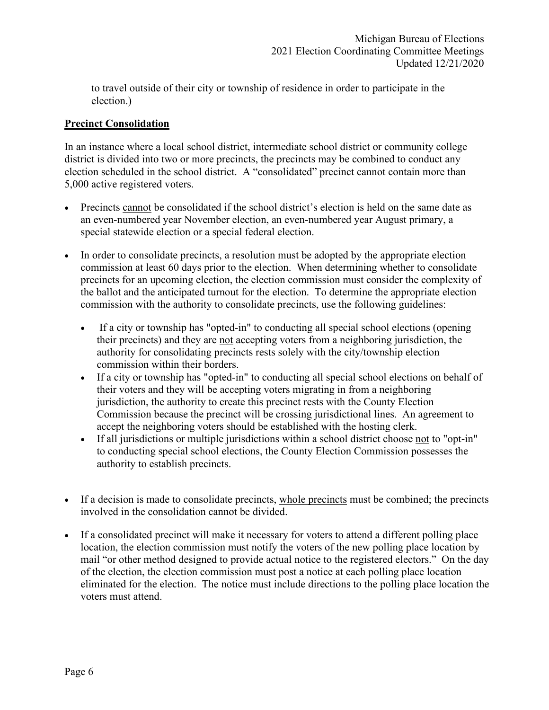to travel outside of their city or township of residence in order to participate in the election.)

# **Precinct Consolidation**

In an instance where a local school district, intermediate school district or community college district is divided into two or more precincts, the precincts may be combined to conduct any election scheduled in the school district. A "consolidated" precinct cannot contain more than 5,000 active registered voters.

- Precincts cannot be consolidated if the school district's election is held on the same date as an even-numbered year November election, an even-numbered year August primary, a special statewide election or a special federal election.
- In order to consolidate precincts, a resolution must be adopted by the appropriate election commission at least 60 days prior to the election. When determining whether to consolidate precincts for an upcoming election, the election commission must consider the complexity of the ballot and the anticipated turnout for the election. To determine the appropriate election commission with the authority to consolidate precincts, use the following guidelines:
	- If a city or township has "opted-in" to conducting all special school elections (opening their precincts) and they are not accepting voters from a neighboring jurisdiction, the authority for consolidating precincts rests solely with the city/township election commission within their borders.
	- If a city or township has "opted-in" to conducting all special school elections on behalf of their voters and they will be accepting voters migrating in from a neighboring jurisdiction, the authority to create this precinct rests with the County Election Commission because the precinct will be crossing jurisdictional lines. An agreement to accept the neighboring voters should be established with the hosting clerk.
	- If all jurisdictions or multiple jurisdictions within a school district choose not to "opt-in" to conducting special school elections, the County Election Commission possesses the authority to establish precincts.
- If a decision is made to consolidate precincts, whole precincts must be combined; the precincts involved in the consolidation cannot be divided.
- If a consolidated precinct will make it necessary for voters to attend a different polling place location, the election commission must notify the voters of the new polling place location by mail "or other method designed to provide actual notice to the registered electors." On the day of the election, the election commission must post a notice at each polling place location eliminated for the election. The notice must include directions to the polling place location the voters must attend.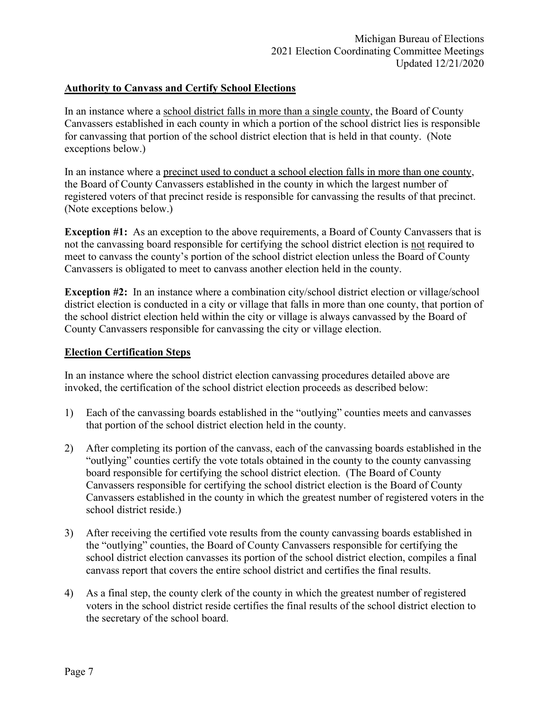### **Authority to Canvass and Certify School Elections**

In an instance where a school district falls in more than a single county, the Board of County Canvassers established in each county in which a portion of the school district lies is responsible for canvassing that portion of the school district election that is held in that county. (Note exceptions below.)

In an instance where a precinct used to conduct a school election falls in more than one county, the Board of County Canvassers established in the county in which the largest number of registered voters of that precinct reside is responsible for canvassing the results of that precinct. (Note exceptions below.)

**Exception #1:** As an exception to the above requirements, a Board of County Canvassers that is not the canvassing board responsible for certifying the school district election is not required to meet to canvass the county's portion of the school district election unless the Board of County Canvassers is obligated to meet to canvass another election held in the county.

**Exception #2:** In an instance where a combination city/school district election or village/school district election is conducted in a city or village that falls in more than one county, that portion of the school district election held within the city or village is always canvassed by the Board of County Canvassers responsible for canvassing the city or village election.

## **Election Certification Steps**

In an instance where the school district election canvassing procedures detailed above are invoked, the certification of the school district election proceeds as described below:

- 1) Each of the canvassing boards established in the "outlying" counties meets and canvasses that portion of the school district election held in the county.
- 2) After completing its portion of the canvass, each of the canvassing boards established in the "outlying" counties certify the vote totals obtained in the county to the county canvassing board responsible for certifying the school district election. (The Board of County Canvassers responsible for certifying the school district election is the Board of County Canvassers established in the county in which the greatest number of registered voters in the school district reside.)
- 3) After receiving the certified vote results from the county canvassing boards established in the "outlying" counties, the Board of County Canvassers responsible for certifying the school district election canvasses its portion of the school district election, compiles a final canvass report that covers the entire school district and certifies the final results.
- 4) As a final step, the county clerk of the county in which the greatest number of registered voters in the school district reside certifies the final results of the school district election to the secretary of the school board.